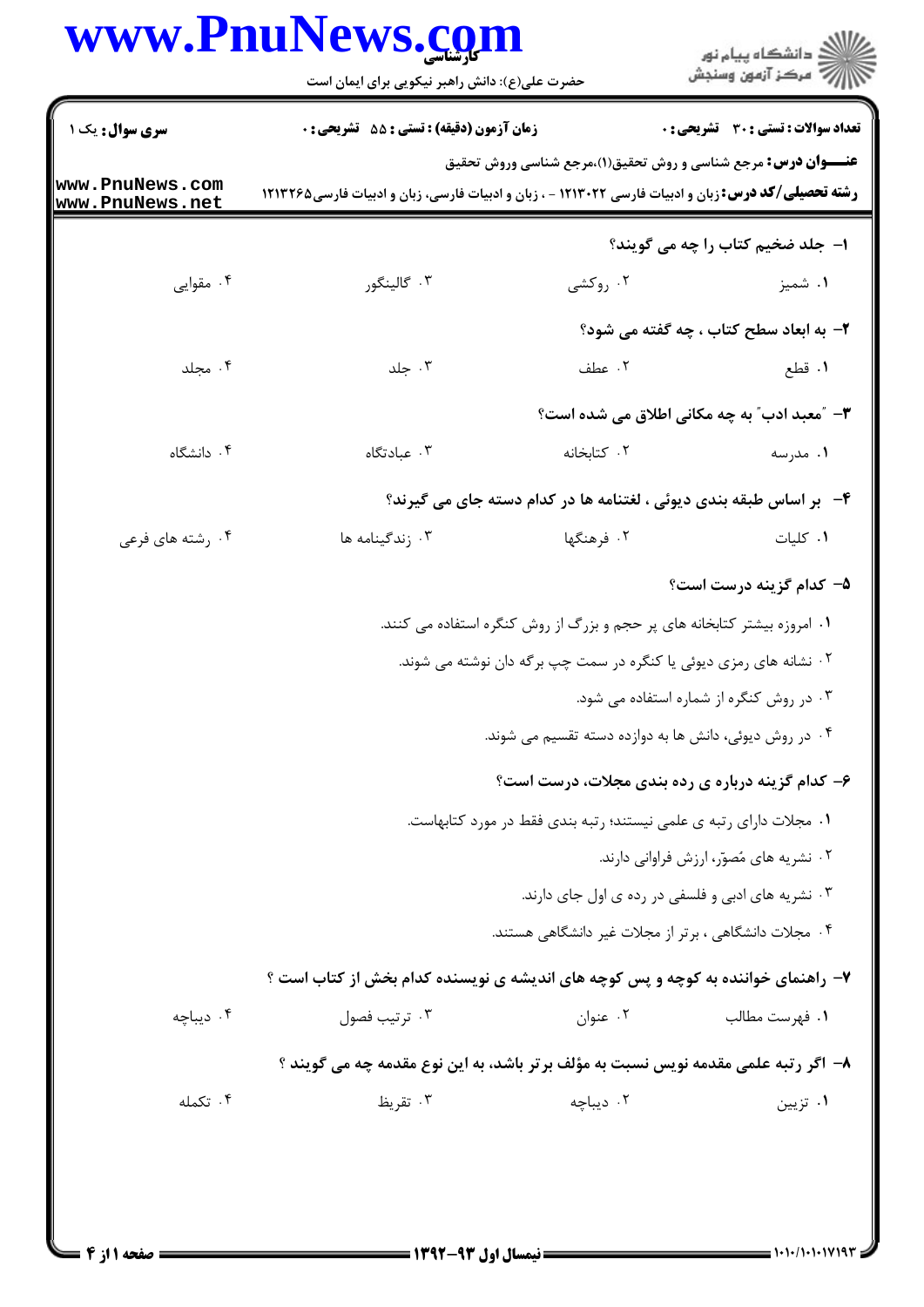## www.PnuNews.com

|                                    | www.PnuNews.com<br>حضرت علی(ع): دانش راهبر نیکویی برای ایمان است                                                                                                                   |             | ڪ دانشڪاه پيام نور<br>پ <sup>ر</sup> مرڪز آزمون وسنڊش               |
|------------------------------------|------------------------------------------------------------------------------------------------------------------------------------------------------------------------------------|-------------|---------------------------------------------------------------------|
| <b>سری سوال :</b> یک ۱             | <b>زمان آزمون (دقیقه) : تستی : 55 تشریحی : 0</b>                                                                                                                                   |             | تعداد سوالات : تستى : 30 - تشريحي : 0                               |
| www.PnuNews.com<br>www.PnuNews.net | <b>عنـــوان درس:</b> مرجع شناسی و روش تحقیق(۱)،مرجع شناسی وروش تحقیق<br><b>رشته تحصیلی/کد درس:</b> زبان و ادبیات فارسی ۱۲۱۳۰۲۲ - ، زبان و ادبیات فارسی، زبان و ادبیات فارسی۱۲۱۳۲۶۵ |             |                                                                     |
|                                    |                                                                                                                                                                                    |             | ۱– جلد ضخیم کتاب را چه می گویند؟                                    |
| ۰۴ مقوایی                          | ۰۳ گالینگور                                                                                                                                                                        | ۰۲ روکشی    | ۰۱ شمیز                                                             |
|                                    |                                                                                                                                                                                    |             | ۲- به ابعاد سطح کتاب ، چه گفته می شود؟                              |
| ۰۴ مجلد                            | ۰۳ جلد                                                                                                                                                                             | ٢. عطف      | ١. قطع                                                              |
|                                    |                                                                                                                                                                                    |             | <b>۳</b> – "معبد ادب" به چه مکانی اطلاق می شده است؟                 |
| ۰۴ دانشگاه                         | ۰۳ عبادتگاه                                                                                                                                                                        | ۰۲ کتابخانه | ۰۱ مدرسه                                                            |
|                                    |                                                                                                                                                                                    |             | ۴-۔ بر اساس طبقه بندی دیوئی ، لغتنامه ها در کدام دسته جای می گیرند؟ |
| ۰۴ رشته های فرعی                   | ۰۳ زندگینامه ها                                                                                                                                                                    | ۰۲ فرهنگها  | ٠١ كليات                                                            |
|                                    |                                                                                                                                                                                    |             | ۵– کدام گزینه درست است؟                                             |
|                                    | ۰۱ امروزه بیشتر کتابخانه های پر حجم و بزرگ از روش کنگره استفاده می کنند.                                                                                                           |             |                                                                     |
|                                    | ۰۲ نشانه های رمزی دیوئی یا کنگره در سمت چپ برگه دان نوشته می شوند.                                                                                                                 |             |                                                                     |
|                                    |                                                                                                                                                                                    |             | ۰۳ در روش کنگره از شماره استفاده می شود.                            |
|                                    |                                                                                                                                                                                    |             | ۰۴ در روش دیوئی، دانش ها به دوازده دسته تقسیم می شوند.              |
|                                    |                                                                                                                                                                                    |             | ۶- کدام گزینه درباره ی رده بندی مجلات، درست است؟                    |
|                                    | ۰۱ مجلات دارای رتبه ی علمی نیستند؛ رتبه بندی فقط در مورد کتابهاست.                                                                                                                 |             |                                                                     |
|                                    |                                                                                                                                                                                    |             | ۰۲ نشریه های مُصوّر، ارزش فراوانی دارند.                            |
|                                    |                                                                                                                                                                                    |             | ۰۳ نشریه های ادبی و فلسفی در رده ی اول جای دارند.                   |
|                                    |                                                                                                                                                                                    |             | ۰۴ مجلات دانشگاهی ، برتر از مجلات غیر دانشگاهی هستند.               |
|                                    | ۷- راهنمای خواننده به کوچه و پس کوچه های اندیشه ی نویسنده کدام بخش از کتاب است ؟                                                                                                   |             |                                                                     |
| ۰۴ دیباچه                          | ۰۳ ترتیب فصول                                                                                                                                                                      | ۰۲ عنوان    | ٠١. فهرست مطالب                                                     |
|                                    | ۸– اگر رتبه علمی مقدمه نویس نسبت به مؤلف برتر باشد، به این نوع مقدمه چه می گویند ؟                                                                                                 |             |                                                                     |
| ۰۴ تکمله                           | ۰۳ تقریظ                                                                                                                                                                           | ۰۲ دیباچه   | ۰۱ تزیین                                                            |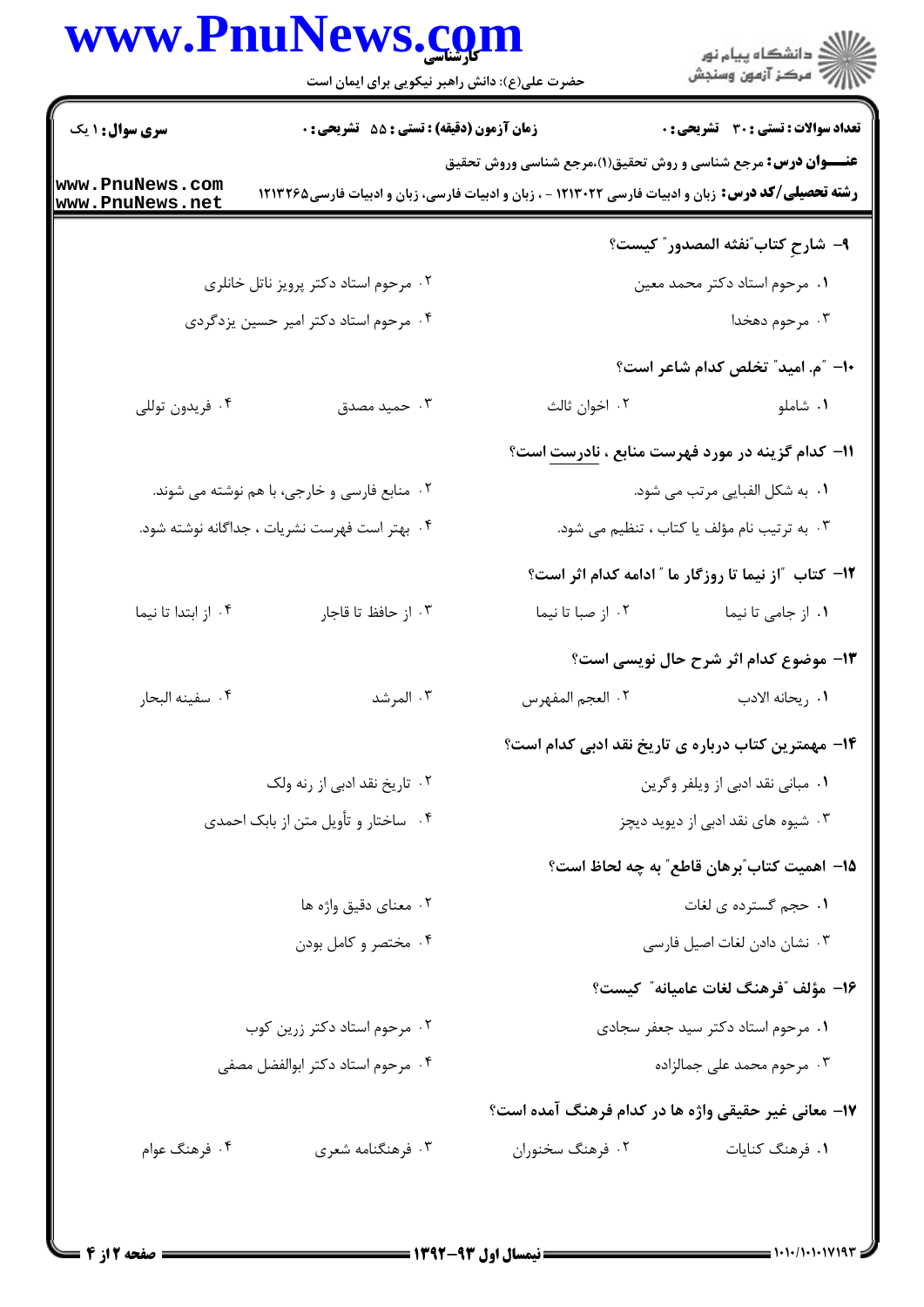## www.PnuNews.com

| www.PnuNews.com                               | حضرت علی(ع): دانش راهبر نیکویی برای ایمان است    |                                                                                                                                                                                    | ان دانشگاه پيام نور<br>از مرکز آزمون وسنجش                      |
|-----------------------------------------------|--------------------------------------------------|------------------------------------------------------------------------------------------------------------------------------------------------------------------------------------|-----------------------------------------------------------------|
| <b>سری سوال : ۱ یک</b>                        | <b>زمان آزمون (دقیقه) : تستی : 55 تشریحی : 0</b> |                                                                                                                                                                                    | <b>تعداد سوالات : تستی : 30 ٪ تشریحی : 0</b>                    |
| ww.PnuNews.com<br>ww.PnuNews.net              |                                                  | <b>عنـــوان درس:</b> مرجع شناسی و روش تحقیق(۱)،مرجع شناسی وروش تحقیق<br><b>رشته تحصیلی/کد درس:</b> زبان و ادبیات فارسی ۱۲۱۳۰۲۲ - ، زبان و ادبیات فارسی، زبان و ادبیات فارسی۱۲۱۳۲۶۵ |                                                                 |
|                                               |                                                  |                                                                                                                                                                                    | ٩- شارحِ كتاب ؒنفثه المصدور ؒ كيست؟                             |
|                                               | ۰۲ مرحوم استاد دکتر پرویز ناتل خانلری            |                                                                                                                                                                                    | ۰۱ مرحوم استاد دکتر محمد معین                                   |
|                                               | ۰۴ مرحوم استاد دکتر امیر حسین یزدگردی            |                                                                                                                                                                                    | ۰۳ مرحوم دهخدا                                                  |
|                                               |                                                  |                                                                                                                                                                                    | <b>۱۰</b> - "م. امید" تخلص کدام شاعر است؟                       |
| ۰۴ فريدون توللي                               | ۰۳ حمید مصدق                                     | ۰۲ اخوان ثالث                                                                                                                                                                      | ۰۱ شاملو                                                        |
|                                               |                                                  |                                                                                                                                                                                    | <b>۱۱- کدام گزینه در مورد فهرست منابع ، <u>نادرست</u> است</b> ؟ |
|                                               | ۲. منابع فارسی و خارجی، با هم نوشته می شوند.     |                                                                                                                                                                                    | ۰۱ به شکل الفبایی مرتب می شود.                                  |
| ۰۴ بهتر است فهرست نشريات ، جداگانه نوشته شود. |                                                  |                                                                                                                                                                                    | ۰۳ به ترتیب نام مؤلف یا کتاب ، تنظیم می شود.                    |
|                                               |                                                  |                                                                                                                                                                                    | ۱۲- کتاب ″از نیما تا روزگار ما ″ ادامه کدام اثر است؟            |
| ۰۴ از ابتدا تا نیما                           | ٠٣ از حافظ تا قاجار                              | ۰۲ از صبا تا نیما                                                                                                                                                                  | ۰۱ از جامی تا نیما                                              |
|                                               |                                                  |                                                                                                                                                                                    | ۱۳- موضوع کدام اثر شرح حال نویسی است؟                           |
| ۰۴ سفينه البحار                               | ۰۳ المرشد                                        |                                                                                                                                                                                    |                                                                 |
|                                               |                                                  |                                                                                                                                                                                    | ۱۴– مهمترین کتاب درباره ی تاریخ نقد ادبی کدام است؟              |
| ۰۲ تاریخ نقد ادبی از رنه ولک                  |                                                  | ٠١ مباني نقد ادبي از ويلفر وكرين                                                                                                                                                   |                                                                 |
| ۰۴ ساختار و تأویل متن از بابک احمدی           |                                                  |                                                                                                                                                                                    | ۰۳ شیوه های نقد ادبی از دیوید دیچز                              |
|                                               |                                                  |                                                                                                                                                                                    | 1۵– اهمیت کتاب ؒبرهان قاطع ؒ به چه لحاظ است؟                    |
| ۰۲ معنای دقیق واژه ها                         |                                                  |                                                                                                                                                                                    | ٠١ حجم گسترده ي لغات                                            |
|                                               | ۰۴ مختصر و کامل بودن                             |                                                                                                                                                                                    | ٠٣ نشان دادن لغات اصيل فارسي                                    |
|                                               |                                                  |                                                                                                                                                                                    | 16– مؤلف "فرهنگ لغات عاميانه″ كيست؟                             |
| ۰۲ مرحوم استاد دکتر زرین کوب                  |                                                  |                                                                                                                                                                                    | ٠١ مرحوم استاد دكتر سيد جعفر سجادى                              |
| ۰۴ مرحوم استاد دکتر ابوالفضل مصفى             |                                                  |                                                                                                                                                                                    | ۰۳ مرحوم محمد علی جمالزاده                                      |
|                                               |                                                  |                                                                                                                                                                                    | ۱۷– معانی غیر حقیقی واژه ها در کدام فرهنگ آمده است؟             |
| ۰۴ فرهنگ عوام                                 | ۰۳ فرهنگنامه شعری                                | ۰۲ فرهنگ سخنوران                                                                                                                                                                   | ۰۱ فرهنگ کنایات                                                 |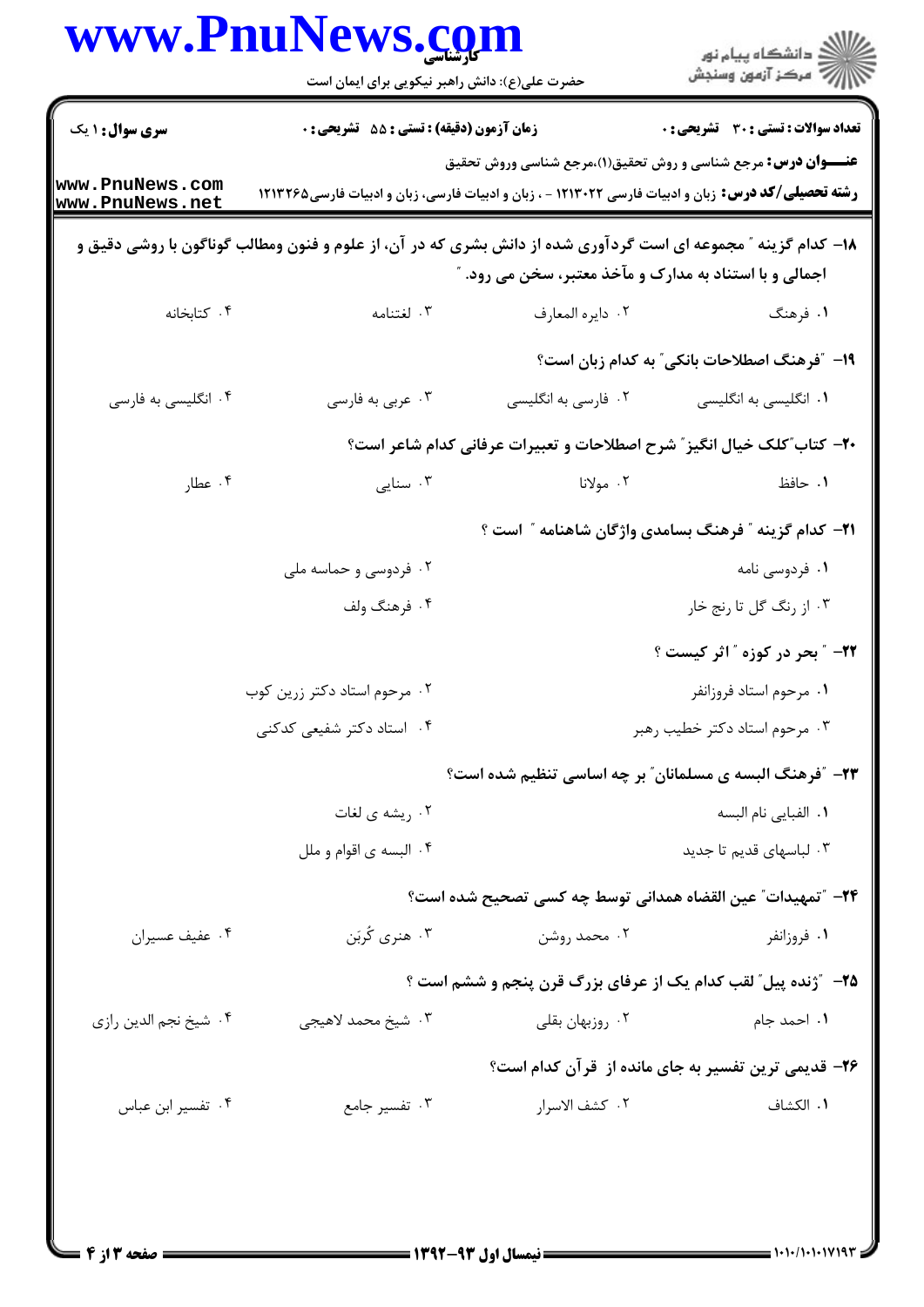|                                    | حضرت علی(ع): دانش راهبر نیکویی برای ایمان است                                                                  |                                                                 | ڪ دانشڪاه پيا <sub>م</sub> نور<br>۾ سرڪز آزمون وسنڊش                    |
|------------------------------------|----------------------------------------------------------------------------------------------------------------|-----------------------------------------------------------------|-------------------------------------------------------------------------|
| <b>سری سوال : ۱ یک</b>             | <b>زمان آزمون (دقیقه) : تستی : 55 تشریحی : 0</b>                                                               |                                                                 | <b>تعداد سوالات : تستي : 30 ٪ تشريحي : 0</b>                            |
| www.PnuNews.com<br>www.PnuNews.net | <b>رشته تحصیلی/کد درس:</b> زبان و ادبیات فارسی ۱۲۱۳۰۲۲ - ، زبان و ادبیات فارسی، زبان و ادبیات فارسی۱۲۱۳۲۶۵     |                                                                 | <b>عنـــوان درس:</b> مرجع شناسی و روش تحقیق(۱)،مرجع شناسی وروش تحقیق    |
|                                    | ۱۸– کدام گزینه ″ مجموعه ای است گردآوری شده از دانش بشری که در آن، از علوم و فنون ومطالب گوناگون با روشی دقیق و | اجمالی و با استناد به مدارک و مآخذ معتبر، سخن می رود. "         |                                                                         |
| ۰۴ کتابخانه                        | ۰۳ لغتنامه                                                                                                     | ٢. دايره المعارف                                                | ۱. فرهنگ                                                                |
|                                    |                                                                                                                |                                                                 | 1۹- ″فرهنگ اصطلاحات بانکی″ به کدام زبان است؟                            |
| ۰۴ انگلیسی به فارسی                | ۰۳ عربي به فارسي                                                                                               | ۰۲ فارسی به انگلیسی                                             | ۰۱ انگلیسی به انگلیسی                                                   |
|                                    |                                                                                                                |                                                                 | +۲- کتاب ؒکلک خیال انگیز ؒ شرح اصطلاحات و تعبیرات عرفانی کدام شاعر است؟ |
| ۰۴ عطار                            | ۰۳ سنایی                                                                                                       | ۰۲ مولانا                                                       | ۰۱ حافظ                                                                 |
|                                    |                                                                                                                |                                                                 | <b>۲۱</b> – کدام گزینه ″ فرهنگ بسامدی واژگان شاهنامه ″ است ؟            |
|                                    | ۰۲ فردوسی و حماسه ملی                                                                                          |                                                                 | ۰۱ فردوسی نامه                                                          |
|                                    | ۰۴ فرهنگ ولف                                                                                                   |                                                                 | ۰۳ از رنگ گل تا رنج خار                                                 |
|                                    |                                                                                                                |                                                                 | <b>۲۲</b> - ″ بحر در کوزه ″ اثر کیست ؟                                  |
|                                    | ۰۲ مرحوم استاد دکتر زرین کوب                                                                                   |                                                                 | ٠١ مرحوم استاد فروزانفر                                                 |
|                                    | ۰۴ استاد دکتر شفیعی کدکنی                                                                                      |                                                                 | ۰۳ مرحوم استاد دکتر خطیب رهبر                                           |
|                                    |                                                                                                                | <b>۲۳</b> - ″فرهنگ البسه ی مسلمانان″ بر چه اساسی تنظیم شده است؟ |                                                                         |
|                                    | ۰۲ ریشه ی لغات                                                                                                 |                                                                 | ٠١. الفبايي نام البسه                                                   |
|                                    | ۰۴ البسه ی اقوام و ملل                                                                                         |                                                                 | ۰۳ لباسهای قدیم تا جدید                                                 |
|                                    |                                                                                                                |                                                                 | ٢۴– "تمهيدات" عين القضاه همداني توسط چه كسي تصحيح شده است؟              |
| ۰۴ عفيف عسيران                     | ۰۳ هنري کُربَن                                                                                                 | ۰۲ محمد روشن                                                    | ۰۱ فروزانفر                                                             |
|                                    |                                                                                                                |                                                                 | <b>۲۵</b> - "ژنده پیل" لقب کدام یک از عرفای بزرگ قرن پنجم و ششم است ؟   |
| ۰۴ شيخ نجم الدين رازي              | ۰۳ شیخ محمد لاهیجی                                                                                             | ۰۲ روزبهان بقلی                                                 | ٠١. احمد جام                                                            |
|                                    |                                                                                                                |                                                                 | ۲۶- قدیمی ترین تفسیر به جای مانده از قرآن کدام است؟                     |
| ۰۴ تفسیر ابن عباس                  | ۰۳ تفسیر جامع                                                                                                  | ٠٢ كشف الاسرار                                                  | ٠١. الكشاف                                                              |